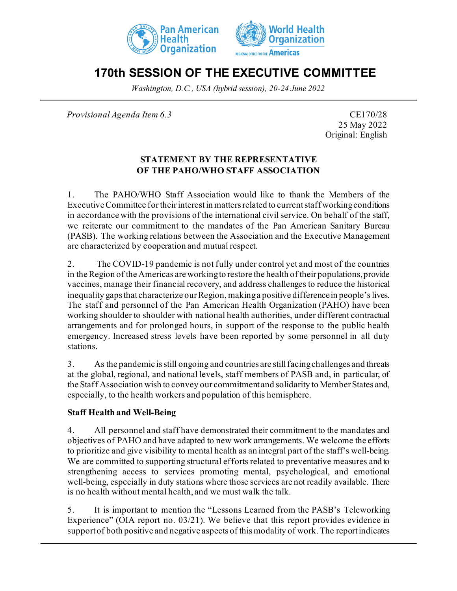



# **170th SESSION OF THE EXECUTIVE COMMITTEE**

*Washington, D.C., USA (hybrid session), 20-24 June 2022*

*Provisional Agenda Item 6.3* CE170/28

25 May 2022 Original: English

# **STATEMENT BY THE REPRESENTATIVE OF THE PAHO/WHO STAFF ASSOCIATION**

1. The PAHO/WHO Staff Association would like to thank the Members of the Executive Committee for their interest in matters related to current staff working conditions in accordance with the provisions of the international civil service. On behalf of the staff, we reiterate our commitment to the mandates of the Pan American Sanitary Bureau (PASB). The working relations between the Association and the Executive Management are characterized by cooperation and mutual respect.

2. The COVID-19 pandemic is not fully under control yet and most of the countries in the Region of the Americas are working to restore the health of their populations, provide vaccines, manage their financial recovery, and address challenges to reduce the historical inequality gaps that characterize our Region, making a positive difference in people's lives. The staff and personnel of the Pan American Health Organization (PAHO) have been working shoulder to shoulder with national health authorities, under different contractual arrangements and for prolonged hours, in support of the response to the public health emergency. Increased stress levels have been reported by some personnel in all duty stations.

3. As the pandemic is still ongoing and countries are still facing challenges and threats at the global, regional, and national levels, staff members of PASB and, in particular, of the Staff Association wish to convey our commitment and solidarity to Member States and, especially, to the health workers and population of this hemisphere.

#### **Staff Health and Well-Being**

4. All personnel and staff have demonstrated their commitment to the mandates and objectives of PAHO and have adapted to new work arrangements. We welcome the efforts to prioritize and give visibility to mental health as an integral part of the staff's well-being. We are committed to supporting structural efforts related to preventative measures and to strengthening access to services promoting mental, psychological, and emotional well-being, especially in duty stations where those services are not readily available. There is no health without mental health, and we must walk the talk.

5. It is important to mention the "Lessons Learned from the PASB's Teleworking Experience" (OIA report no. 03/21). We believe that this report provides evidence in support of both positive and negative aspects of this modality of work. The report indicates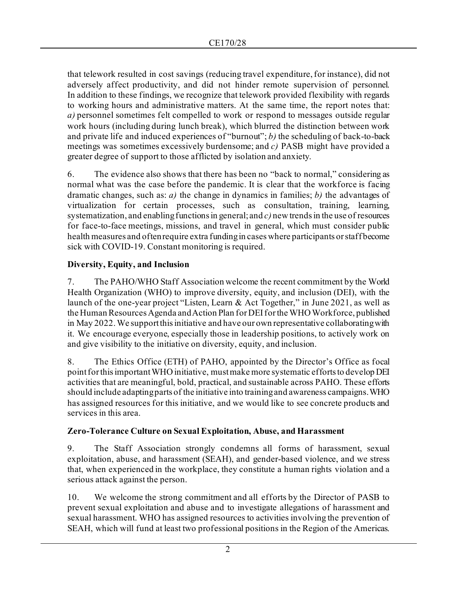that telework resulted in cost savings (reducing travel expenditure, for instance), did not adversely affect productivity, and did not hinder remote supervision of personnel. In addition to these findings, we recognize that telework provided flexibility with regards to working hours and administrative matters. At the same time, the report notes that: *a)* personnel sometimes felt compelled to work or respond to messages outside regular work hours (including during lunch break), which blurred the distinction between work and private life and induced experiences of "burnout"; *b)* the scheduling of back-to-back meetings was sometimes excessively burdensome; and *c)* PASB might have provided a greater degree of support to those afflicted by isolation and anxiety.

6. The evidence also shows that there has been no "back to normal," considering as normal what was the case before the pandemic. It is clear that the workforce is facing dramatic changes, such as: *a)* the change in dynamics in families; *b)* the advantages of virtualization for certain processes, such as consultation, training, learning, systematization, and enabling functions in general; and *c)* new trends in the use of resources for face-to-face meetings, missions, and travel in general, which must consider public health measures and often require extra funding in cases where participants or staff become sick with COVID-19. Constant monitoring is required.

# **Diversity, Equity, and Inclusion**

7. The PAHO/WHO Staff Association welcome the recent commitment by the World Health Organization (WHO) to improve diversity, equity, and inclusion (DEI), with the launch of the one-year project "Listen, Learn & Act Together," in June 2021, as well as the Human Resources Agenda and Action Plan for DEI for the WHO Workforce, published in May 2022. We support this initiative and have our own representative collaborating with it. We encourage everyone, especially those in leadership positions, to actively work on and give visibility to the initiative on diversity, equity, and inclusion.

8. The Ethics Office (ETH) of PAHO, appointed by the Director's Office as focal point for this important WHO initiative, must make more systematic efforts to develop DEI activities that are meaningful, bold, practical, and sustainable across PAHO. These efforts should include adapting parts of the initiative into training and awareness campaigns. WHO has assigned resources for this initiative, and we would like to see concrete products and services in this area.

# **Zero-Tolerance Culture on Sexual Exploitation, Abuse, and Harassment**

9. The Staff Association strongly condemns all forms of harassment, sexual exploitation, abuse, and harassment (SEAH), and gender-based violence, and we stress that, when experienced in the workplace, they constitute a human rights violation and a serious attack against the person.

10. We welcome the strong commitment and all efforts by the Director of PASB to prevent sexual exploitation and abuse and to investigate allegations of harassment and sexual harassment. WHO has assigned resources to activities involving the prevention of SEAH, which will fund at least two professional positions in the Region of the Americas.